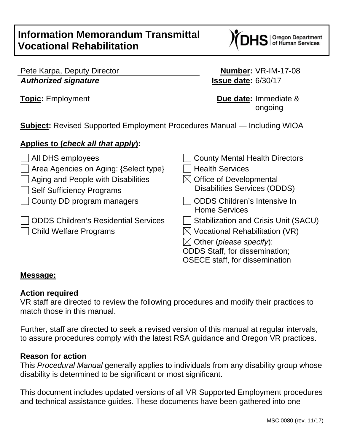# **Information Memorandum Transmittal Vocational Rehabilitation**

| Oregon Department<br>| of Human Services

|                             | Pete Karpa, Deputy Director |
|-----------------------------|-----------------------------|
| <b>Authorized signature</b> |                             |

**Number: VR-IM-17-08** *Authorized signature* **Issue date:** 6/30/17

**Topic:** Employment **Due date:** Immediate & ongoing

**Subject:** Revised Supported Employment Procedures Manual — Including WIOA

## **Applies to (***check all that apply***):**

| All DHS employees<br>$\Box$ Area Agencies on Aging: {Select type}<br>Aging and People with Disabilities<br><b>Self Sufficiency Programs</b> | <b>County Mental Health Directors</b><br><b>Health Services</b><br>$\times$ Office of Developmental<br><b>Disabilities Services (ODDS)</b>                                                                      |
|---------------------------------------------------------------------------------------------------------------------------------------------|-----------------------------------------------------------------------------------------------------------------------------------------------------------------------------------------------------------------|
| County DD program managers                                                                                                                  | <b>ODDS Children's Intensive In</b><br><b>Home Services</b>                                                                                                                                                     |
| <b>ODDS Children's Residential Services</b><br><b>Child Welfare Programs</b>                                                                | <b>Stabilization and Crisis Unit (SACU)</b><br>$\times$ Vocational Rehabilitation (VR)<br>$\boxtimes$ Other (please specify):<br><b>ODDS Staff, for dissemination;</b><br><b>OSECE</b> staff, for dissemination |

#### **Message:**

## **Action required**

VR staff are directed to review the following procedures and modify their practices to match those in this manual.

Further, staff are directed to seek a revised version of this manual at regular intervals, to assure procedures comply with the latest RSA guidance and Oregon VR practices.

#### **Reason for action**

This *Procedural Manual* generally applies to individuals from any disability group whose disability is determined to be significant or most significant.

This document includes updated versions of all VR Supported Employment procedures and technical assistance guides. These documents have been gathered into one